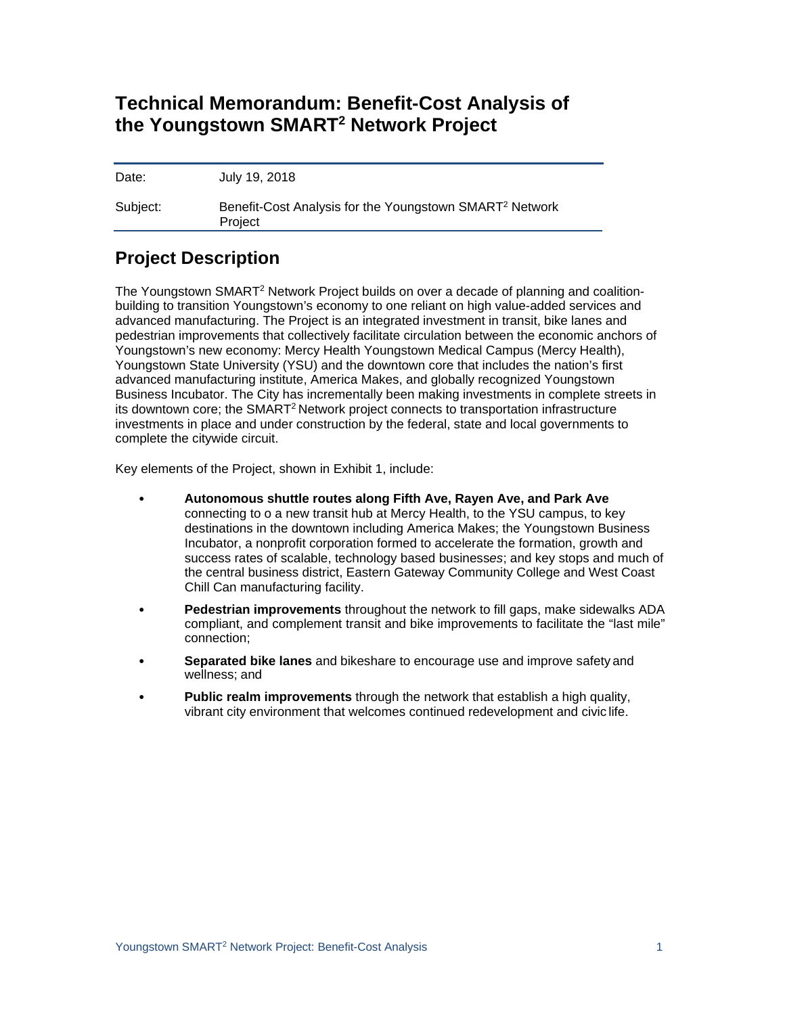# **Technical Memorandum: Benefit-Cost Analysis of the Youngstown SMART2 Network Project**

Date: July 19, 2018 Subject: Benefit-Cost Analysis for the Youngstown SMART<sup>2</sup> Network Project

# **Project Description**

The Youngstown SMART2 Network Project builds on over a decade of planning and coalitionbuilding to transition Youngstown's economy to one reliant on high value-added services and advanced manufacturing. The Project is an integrated investment in transit, bike lanes and pedestrian improvements that collectively facilitate circulation between the economic anchors of Youngstown's new economy: Mercy Health Youngstown Medical Campus (Mercy Health), Youngstown State University (YSU) and the downtown core that includes the nation's first advanced manufacturing institute, America Makes, and globally recognized Youngstown Business Incubator. The City has incrementally been making investments in complete streets in its downtown core; the SMART<sup>2</sup> Network project connects to transportation infrastructure investments in place and under construction by the federal, state and local governments to complete the citywide circuit.

Key elements of the Project, shown in Exhibit 1, include:

- **Autonomous shuttle routes along Fifth Ave, Rayen Ave, and Park Ave**  connecting to o a new transit hub at Mercy Health, to the YSU campus, to key destinations in the downtown including America Makes; the Youngstown Business Incubator, a nonprofit corporation formed to accelerate the formation, growth and success rates of scalable, technology based business*es*; and key stops and much of the central business district, Eastern Gateway Community College and West Coast Chill Can manufacturing facility.
- **Pedestrian improvements** throughout the network to fill gaps, make sidewalks ADA compliant, and complement transit and bike improvements to facilitate the "last mile" connection;
- **Separated bike lanes** and bikeshare to encourage use and improve safety and wellness; and
- **Public realm improvements** through the network that establish a high quality, vibrant city environment that welcomes continued redevelopment and civic life.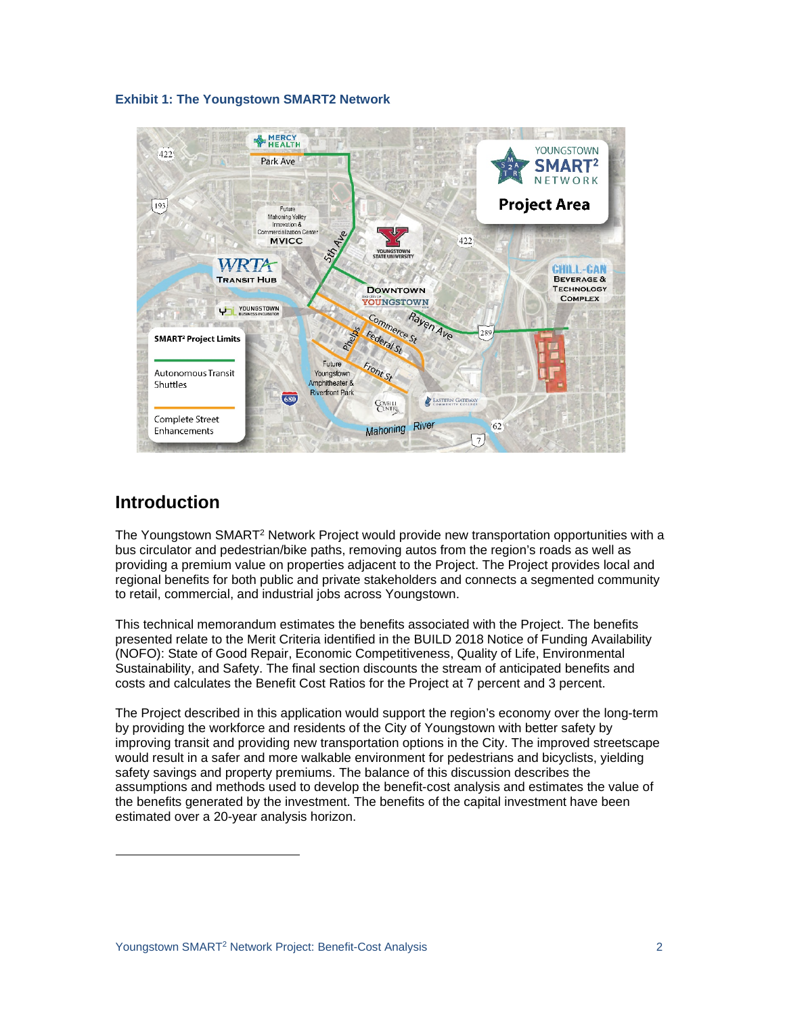## **Exhibit 1: The Youngstown SMART2 Network**



# **Introduction**

The Youngstown SMART<sup>2</sup> Network Project would provide new transportation opportunities with a bus circulator and pedestrian/bike paths, removing autos from the region's roads as well as providing a premium value on properties adjacent to the Project. The Project provides local and regional benefits for both public and private stakeholders and connects a segmented community to retail, commercial, and industrial jobs across Youngstown.

This technical memorandum estimates the benefits associated with the Project. The benefits presented relate to the Merit Criteria identified in the BUILD 2018 Notice of Funding Availability (NOFO): State of Good Repair, Economic Competitiveness, Quality of Life, Environmental Sustainability, and Safety. The final section discounts the stream of anticipated benefits and costs and calculates the Benefit Cost Ratios for the Project at 7 percent and 3 percent.

The Project described in this application would support the region's economy over the long-term by providing the workforce and residents of the City of Youngstown with better safety by improving transit and providing new transportation options in the City. The improved streetscape would result in a safer and more walkable environment for pedestrians and bicyclists, yielding safety savings and property premiums. The balance of this discussion describes the assumptions and methods used to develop the benefit-cost analysis and estimates the value of the benefits generated by the investment. The benefits of the capital investment have been estimated over a 20-year analysis horizon.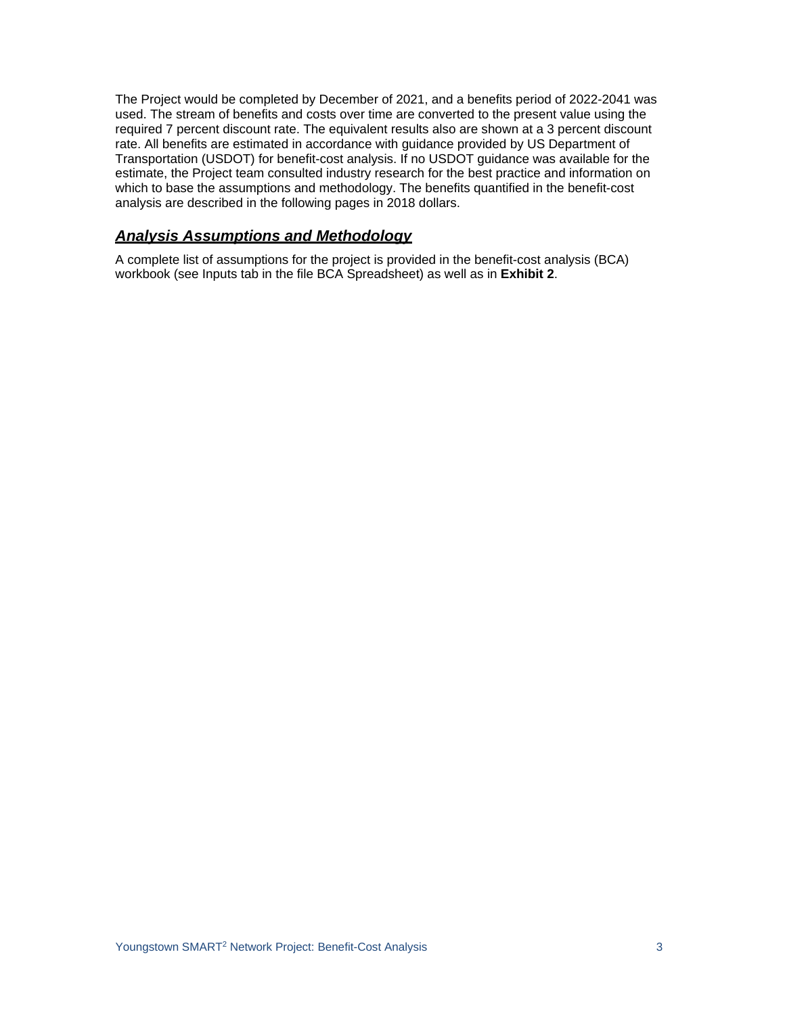The Project would be completed by December of 2021, and a benefits period of 2022-2041 was used. The stream of benefits and costs over time are converted to the present value using the required 7 percent discount rate. The equivalent results also are shown at a 3 percent discount rate. All benefits are estimated in accordance with guidance provided by US Department of Transportation (USDOT) for benefit-cost analysis. If no USDOT guidance was available for the estimate, the Project team consulted industry research for the best practice and information on which to base the assumptions and methodology. The benefits quantified in the benefit-cost analysis are described in the following pages in 2018 dollars.

## *Analysis Assumptions and Methodology*

A complete list of assumptions for the project is provided in the benefit-cost analysis (BCA) workbook (see Inputs tab in the file BCA Spreadsheet) as well as in **Exhibit 2**.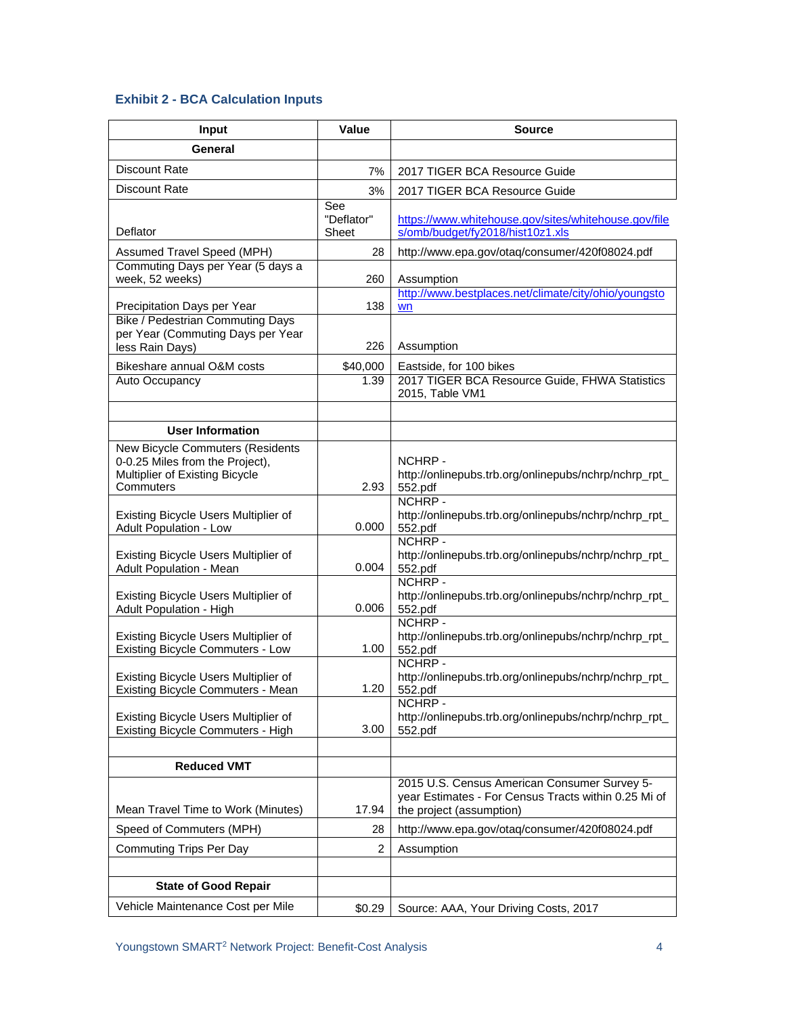## **Exhibit 2 - BCA Calculation Inputs**

| <b>Input</b>                                                                                                       | Value                      | <b>Source</b>                                                                                                                    |  |  |
|--------------------------------------------------------------------------------------------------------------------|----------------------------|----------------------------------------------------------------------------------------------------------------------------------|--|--|
| General                                                                                                            |                            |                                                                                                                                  |  |  |
| Discount Rate                                                                                                      | 7%                         | 2017 TIGER BCA Resource Guide                                                                                                    |  |  |
| Discount Rate                                                                                                      | 3%                         | 2017 TIGER BCA Resource Guide                                                                                                    |  |  |
| Deflator                                                                                                           | See<br>"Deflator"<br>Sheet | https://www.whitehouse.gov/sites/whitehouse.gov/file<br>s/omb/budget/fy2018/hist10z1.xls                                         |  |  |
| Assumed Travel Speed (MPH)                                                                                         | 28                         | http://www.epa.gov/otaq/consumer/420f08024.pdf                                                                                   |  |  |
| Commuting Days per Year (5 days a<br>week, 52 weeks)                                                               | 260                        | Assumption                                                                                                                       |  |  |
| Precipitation Days per Year                                                                                        | 138                        | http://www.bestplaces.net/climate/city/ohio/youngsto<br>wn                                                                       |  |  |
| <b>Bike / Pedestrian Commuting Days</b><br>per Year (Commuting Days per Year<br>less Rain Days)                    | 226                        | Assumption                                                                                                                       |  |  |
| Bikeshare annual O&M costs                                                                                         | \$40,000                   | Eastside, for 100 bikes                                                                                                          |  |  |
| Auto Occupancy                                                                                                     | 1.39                       | 2017 TIGER BCA Resource Guide, FHWA Statistics<br>2015, Table VM1                                                                |  |  |
|                                                                                                                    |                            |                                                                                                                                  |  |  |
| <b>User Information</b>                                                                                            |                            |                                                                                                                                  |  |  |
| New Bicycle Commuters (Residents<br>0-0.25 Miles from the Project),<br>Multiplier of Existing Bicycle<br>Commuters | 2.93                       | NCHRP-<br>http://onlinepubs.trb.org/onlinepubs/nchrp/nchrp_rpt_<br>552.pdf                                                       |  |  |
| Existing Bicycle Users Multiplier of<br><b>Adult Population - Low</b>                                              | 0.000                      | NCHRP-<br>http://onlinepubs.trb.org/onlinepubs/nchrp/nchrp_rpt_<br>552.pdf                                                       |  |  |
| Existing Bicycle Users Multiplier of<br>Adult Population - Mean                                                    | 0.004                      | NCHRP -<br>http://onlinepubs.trb.org/onlinepubs/nchrp/nchrp_rpt_<br>552.pdf                                                      |  |  |
| Existing Bicycle Users Multiplier of<br>Adult Population - High                                                    | 0.006                      | NCHRP-<br>http://onlinepubs.trb.org/onlinepubs/nchrp/nchrp_rpt_<br>552.pdf                                                       |  |  |
| Existing Bicycle Users Multiplier of<br><b>Existing Bicycle Commuters - Low</b>                                    | 1.00                       | NCHRP-<br>http://onlinepubs.trb.org/onlinepubs/nchrp/nchrp_rpt_<br>552.pdf                                                       |  |  |
| Existing Bicycle Users Multiplier of<br><b>Existing Bicycle Commuters - Mean</b>                                   | 1.20                       | NCHRP-<br>http://onlinepubs.trb.org/onlinepubs/nchrp/nchrp_rpt_<br>552.pdf                                                       |  |  |
| Existing Bicycle Users Multiplier of<br><b>Existing Bicycle Commuters - High</b>                                   | 3.00                       | NCHRP -<br>http://onlinepubs.trb.org/onlinepubs/nchrp/nchrp_rpt_<br>552.pdf                                                      |  |  |
|                                                                                                                    |                            |                                                                                                                                  |  |  |
| <b>Reduced VMT</b>                                                                                                 |                            |                                                                                                                                  |  |  |
| Mean Travel Time to Work (Minutes)                                                                                 | 17.94                      | 2015 U.S. Census American Consumer Survey 5-<br>year Estimates - For Census Tracts within 0.25 Mi of<br>the project (assumption) |  |  |
| Speed of Commuters (MPH)                                                                                           | 28                         | http://www.epa.gov/otaq/consumer/420f08024.pdf                                                                                   |  |  |
| <b>Commuting Trips Per Day</b>                                                                                     | $\overline{2}$             | Assumption                                                                                                                       |  |  |
|                                                                                                                    |                            |                                                                                                                                  |  |  |
| <b>State of Good Repair</b>                                                                                        |                            |                                                                                                                                  |  |  |
| Vehicle Maintenance Cost per Mile                                                                                  | \$0.29                     | Source: AAA, Your Driving Costs, 2017                                                                                            |  |  |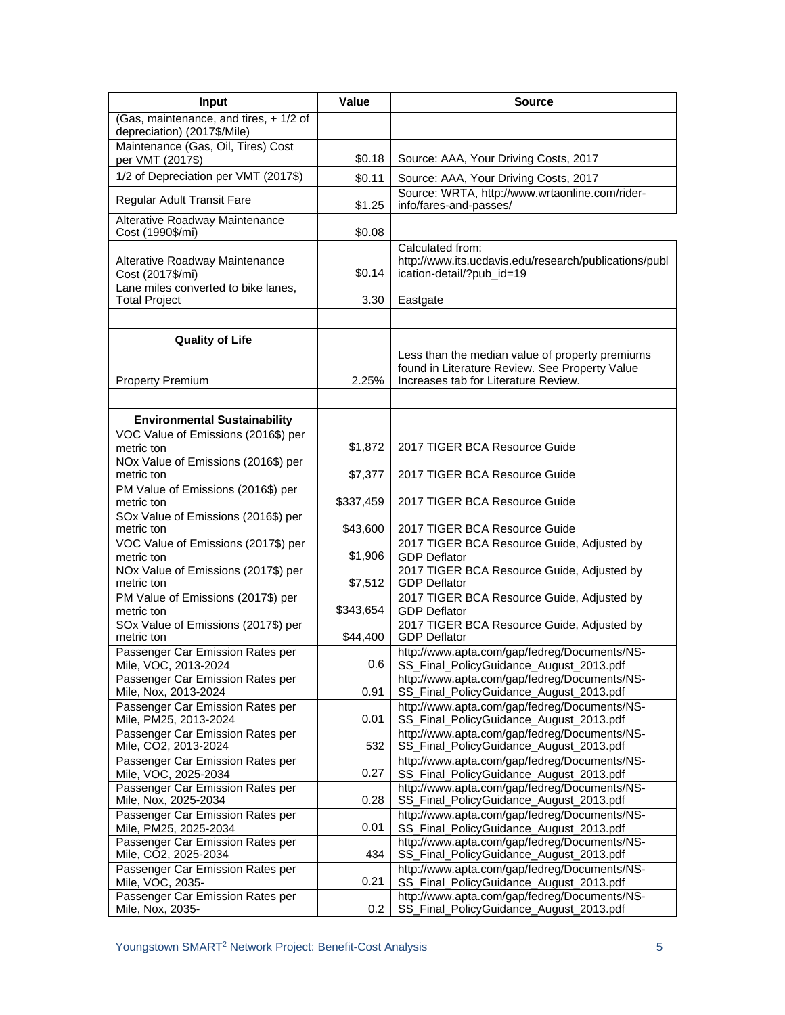| Input                                                                                     | <b>Value</b> | Source                                                                                                                                    |  |  |
|-------------------------------------------------------------------------------------------|--------------|-------------------------------------------------------------------------------------------------------------------------------------------|--|--|
| (Gas, maintenance, and tires, +1/2 of<br>depreciation) (2017\$/Mile)                      |              |                                                                                                                                           |  |  |
| Maintenance (Gas, Oil, Tires) Cost<br>per VMT (2017\$)                                    | \$0.18       | Source: AAA, Your Driving Costs, 2017                                                                                                     |  |  |
| 1/2 of Depreciation per VMT (2017\$)                                                      | \$0.11       | Source: AAA, Your Driving Costs, 2017                                                                                                     |  |  |
| Regular Adult Transit Fare                                                                | \$1.25       | Source: WRTA, http://www.wrtaonline.com/rider-<br>info/fares-and-passes/                                                                  |  |  |
| Alterative Roadway Maintenance<br>Cost (1990\$/mi)                                        | \$0.08       |                                                                                                                                           |  |  |
| Alterative Roadway Maintenance<br>Cost (2017\$/mi)<br>Lane miles converted to bike lanes, | \$0.14       | Calculated from:<br>http://www.its.ucdavis.edu/research/publications/publ<br>ication-detail/?pub_id=19                                    |  |  |
| <b>Total Project</b>                                                                      | 3.30         | Eastgate                                                                                                                                  |  |  |
|                                                                                           |              |                                                                                                                                           |  |  |
| <b>Quality of Life</b>                                                                    |              |                                                                                                                                           |  |  |
| <b>Property Premium</b>                                                                   | 2.25%        | Less than the median value of property premiums<br>found in Literature Review. See Property Value<br>Increases tab for Literature Review. |  |  |
|                                                                                           |              |                                                                                                                                           |  |  |
| <b>Environmental Sustainability</b>                                                       |              |                                                                                                                                           |  |  |
| VOC Value of Emissions (2016\$) per<br>metric ton                                         | \$1,872      | 2017 TIGER BCA Resource Guide                                                                                                             |  |  |
| NOx Value of Emissions (2016\$) per<br>metric ton                                         | \$7,377      | 2017 TIGER BCA Resource Guide                                                                                                             |  |  |
| PM Value of Emissions (2016\$) per<br>metric ton                                          | \$337,459    | 2017 TIGER BCA Resource Guide                                                                                                             |  |  |
| SOx Value of Emissions (2016\$) per                                                       |              |                                                                                                                                           |  |  |
| metric ton                                                                                | \$43,600     | 2017 TIGER BCA Resource Guide                                                                                                             |  |  |
| VOC Value of Emissions (2017\$) per<br>metric ton                                         | \$1,906      | 2017 TIGER BCA Resource Guide, Adjusted by<br><b>GDP Deflator</b>                                                                         |  |  |
| NOx Value of Emissions (2017\$) per<br>metric ton                                         | \$7,512      | 2017 TIGER BCA Resource Guide, Adjusted by<br><b>GDP Deflator</b>                                                                         |  |  |
| PM Value of Emissions (2017\$) per<br>metric ton                                          | \$343,654    | 2017 TIGER BCA Resource Guide, Adjusted by<br><b>GDP Deflator</b>                                                                         |  |  |
| SOx Value of Emissions (2017\$) per<br>metric ton                                         | \$44,400     | 2017 TIGER BCA Resource Guide, Adjusted by<br><b>GDP</b> Deflator                                                                         |  |  |
| Passenger Car Emission Rates per<br>Mile, VOC, 2013-2024                                  | 0.6          | http://www.apta.com/gap/fedreg/Documents/NS-<br>SS_Final_PolicyGuidance_August_2013.pdf                                                   |  |  |
| Passenger Car Emission Rates per<br>Mile, Nox, 2013-2024                                  | 0.91         | http://www.apta.com/gap/fedreg/Documents/NS-<br>SS_Final_PolicyGuidance_August_2013.pdf                                                   |  |  |
| Passenger Car Emission Rates per<br>Mile, PM25, 2013-2024                                 | 0.01         | http://www.apta.com/gap/fedreg/Documents/NS-<br>SS_Final_PolicyGuidance_August_2013.pdf                                                   |  |  |
| Passenger Car Emission Rates per<br>Mile, CO2, 2013-2024                                  | 532          | http://www.apta.com/gap/fedreg/Documents/NS-<br>SS_Final_PolicyGuidance_August_2013.pdf                                                   |  |  |
| Passenger Car Emission Rates per<br>Mile, VOC, 2025-2034                                  | 0.27         | http://www.apta.com/gap/fedreg/Documents/NS-<br>SS_Final_PolicyGuidance_August_2013.pdf                                                   |  |  |
| Passenger Car Emission Rates per<br>Mile, Nox, 2025-2034                                  | 0.28         | http://www.apta.com/gap/fedreg/Documents/NS-<br>SS_Final_PolicyGuidance_August_2013.pdf                                                   |  |  |
| Passenger Car Emission Rates per<br>Mile, PM25, 2025-2034                                 | 0.01         | http://www.apta.com/gap/fedreg/Documents/NS-<br>SS_Final_PolicyGuidance_August_2013.pdf                                                   |  |  |
| Passenger Car Emission Rates per<br>Mile, CO2, 2025-2034                                  | 434          | http://www.apta.com/gap/fedreg/Documents/NS-<br>SS_Final_PolicyGuidance_August_2013.pdf                                                   |  |  |
| Passenger Car Emission Rates per<br>Mile, VOC, 2035-                                      | 0.21         | http://www.apta.com/gap/fedreg/Documents/NS-<br>SS_Final_PolicyGuidance_August_2013.pdf                                                   |  |  |
| Passenger Car Emission Rates per<br>Mile, Nox, 2035-                                      | 0.2          | http://www.apta.com/gap/fedreg/Documents/NS-<br>SS_Final_PolicyGuidance_August_2013.pdf                                                   |  |  |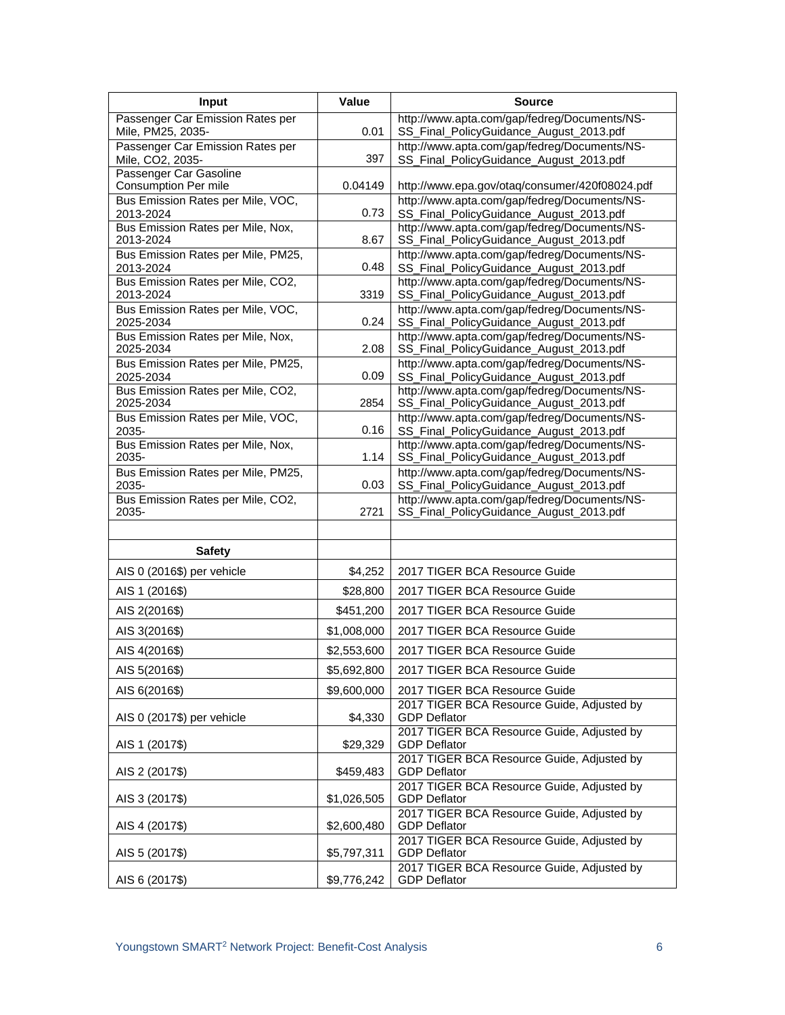| Input                                                 | Value       | <b>Source</b>                                                                           |  |  |
|-------------------------------------------------------|-------------|-----------------------------------------------------------------------------------------|--|--|
| Passenger Car Emission Rates per<br>Mile, PM25, 2035- | 0.01        | http://www.apta.com/gap/fedreg/Documents/NS-<br>SS_Final_PolicyGuidance_August_2013.pdf |  |  |
| Passenger Car Emission Rates per<br>Mile, CO2, 2035-  | 397         | http://www.apta.com/gap/fedreg/Documents/NS-<br>SS_Final_PolicyGuidance_August_2013.pdf |  |  |
| Passenger Car Gasoline<br><b>Consumption Per mile</b> | 0.04149     | http://www.epa.gov/otaq/consumer/420f08024.pdf                                          |  |  |
| Bus Emission Rates per Mile, VOC,<br>2013-2024        | 0.73        | http://www.apta.com/gap/fedreg/Documents/NS-<br>SS_Final_PolicyGuidance_August_2013.pdf |  |  |
| Bus Emission Rates per Mile, Nox,<br>2013-2024        | 8.67        | http://www.apta.com/gap/fedreg/Documents/NS-<br>SS_Final_PolicyGuidance_August_2013.pdf |  |  |
| Bus Emission Rates per Mile, PM25,<br>2013-2024       | 0.48        | http://www.apta.com/gap/fedreg/Documents/NS-<br>SS_Final_PolicyGuidance_August_2013.pdf |  |  |
| Bus Emission Rates per Mile, CO2,<br>2013-2024        | 3319        | http://www.apta.com/gap/fedreg/Documents/NS-<br>SS_Final_PolicyGuidance_August_2013.pdf |  |  |
| Bus Emission Rates per Mile, VOC,<br>2025-2034        | 0.24        | http://www.apta.com/gap/fedreg/Documents/NS-<br>SS_Final_PolicyGuidance_August_2013.pdf |  |  |
| Bus Emission Rates per Mile, Nox,<br>2025-2034        | 2.08        | http://www.apta.com/gap/fedreg/Documents/NS-<br>SS_Final_PolicyGuidance_August_2013.pdf |  |  |
| Bus Emission Rates per Mile, PM25,<br>2025-2034       | 0.09        | http://www.apta.com/gap/fedreg/Documents/NS-<br>SS_Final_PolicyGuidance_August_2013.pdf |  |  |
| Bus Emission Rates per Mile, CO2,<br>2025-2034        | 2854        | http://www.apta.com/gap/fedreg/Documents/NS-<br>SS_Final_PolicyGuidance_August_2013.pdf |  |  |
| Bus Emission Rates per Mile, VOC,<br>2035-            | 0.16        | http://www.apta.com/gap/fedreg/Documents/NS-<br>SS_Final_PolicyGuidance_August_2013.pdf |  |  |
| Bus Emission Rates per Mile, Nox,<br>2035-            | 1.14        | http://www.apta.com/gap/fedreg/Documents/NS-<br>SS_Final_PolicyGuidance_August_2013.pdf |  |  |
| Bus Emission Rates per Mile, PM25,<br>2035-           | 0.03        | http://www.apta.com/gap/fedreg/Documents/NS-<br>SS_Final_PolicyGuidance_August_2013.pdf |  |  |
| Bus Emission Rates per Mile, CO2,<br>2035-            | 2721        | http://www.apta.com/gap/fedreg/Documents/NS-<br>SS_Final_PolicyGuidance_August_2013.pdf |  |  |
|                                                       |             |                                                                                         |  |  |
| <b>Safety</b>                                         |             |                                                                                         |  |  |
| AIS 0 (2016\$) per vehicle                            | \$4,252     | 2017 TIGER BCA Resource Guide                                                           |  |  |
| AIS 1 (2016\$)                                        | \$28,800    | 2017 TIGER BCA Resource Guide                                                           |  |  |
| AIS 2(2016\$)                                         | \$451,200   | 2017 TIGER BCA Resource Guide                                                           |  |  |
| AIS 3(2016\$)                                         | \$1,008,000 | 2017 TIGER BCA Resource Guide                                                           |  |  |
| AIS 4(2016\$)                                         | \$2,553,600 | 2017 TIGER BCA Resource Guide                                                           |  |  |
| AIS 5(2016\$)                                         | \$5,692,800 | 2017 TIGER BCA Resource Guide                                                           |  |  |
| AIS 6(2016\$)                                         | \$9,600,000 | 2017 TIGER BCA Resource Guide                                                           |  |  |
| AIS 0 (2017\$) per vehicle                            | \$4,330     | 2017 TIGER BCA Resource Guide, Adjusted by<br><b>GDP Deflator</b>                       |  |  |
| AIS 1 (2017\$)                                        | \$29,329    | 2017 TIGER BCA Resource Guide, Adjusted by<br><b>GDP Deflator</b>                       |  |  |
| AIS 2 (2017\$)                                        | \$459,483   | 2017 TIGER BCA Resource Guide, Adjusted by<br><b>GDP Deflator</b>                       |  |  |
| AIS 3 (2017\$)                                        | \$1,026,505 | 2017 TIGER BCA Resource Guide, Adjusted by<br><b>GDP Deflator</b>                       |  |  |
| AIS 4 (2017\$)                                        | \$2,600,480 | 2017 TIGER BCA Resource Guide, Adjusted by<br><b>GDP Deflator</b>                       |  |  |
| AIS 5 (2017\$)                                        | \$5,797,311 | 2017 TIGER BCA Resource Guide, Adjusted by<br><b>GDP Deflator</b>                       |  |  |
| AIS 6 (2017\$)                                        | \$9,776,242 | 2017 TIGER BCA Resource Guide, Adjusted by<br><b>GDP Deflator</b>                       |  |  |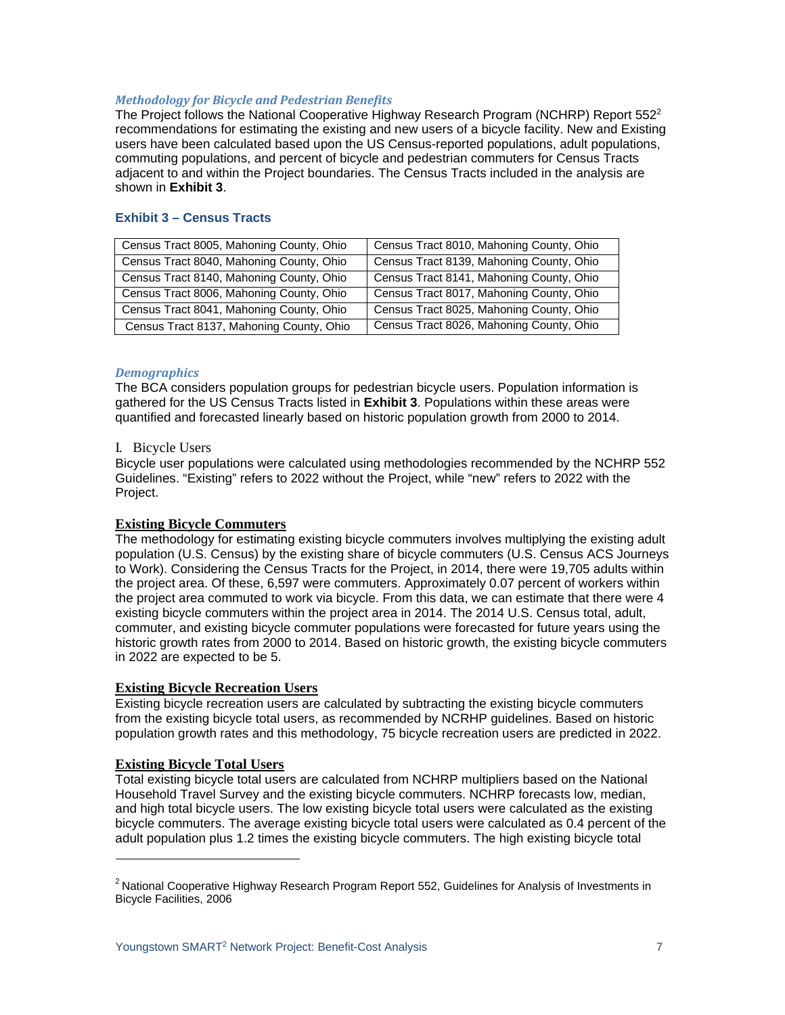## *Methodology for Bicycle and Pedestrian Benefits*

The Project follows the National Cooperative Highway Research Program (NCHRP) Report  $552<sup>2</sup>$ recommendations for estimating the existing and new users of a bicycle facility. New and Existing users have been calculated based upon the US Census-reported populations, adult populations, commuting populations, and percent of bicycle and pedestrian commuters for Census Tracts adjacent to and within the Project boundaries. The Census Tracts included in the analysis are shown in **Exhibit 3**.

## **Exhibit 3 – Census Tracts**

| Census Tract 8005, Mahoning County, Ohio | Census Tract 8010, Mahoning County, Ohio |
|------------------------------------------|------------------------------------------|
| Census Tract 8040, Mahoning County, Ohio | Census Tract 8139, Mahoning County, Ohio |
| Census Tract 8140, Mahoning County, Ohio | Census Tract 8141, Mahoning County, Ohio |
| Census Tract 8006, Mahoning County, Ohio | Census Tract 8017, Mahoning County, Ohio |
| Census Tract 8041, Mahoning County, Ohio | Census Tract 8025, Mahoning County, Ohio |
| Census Tract 8137, Mahoning County, Ohio | Census Tract 8026, Mahoning County, Ohio |

## *Demographics*

The BCA considers population groups for pedestrian bicycle users. Population information is gathered for the US Census Tracts listed in **Exhibit 3**. Populations within these areas were quantified and forecasted linearly based on historic population growth from 2000 to 2014.

### I. Bicycle Users

Bicycle user populations were calculated using methodologies recommended by the NCHRP 552 Guidelines. "Existing" refers to 2022 without the Project, while "new" refers to 2022 with the Project.

## **Existing Bicycle Commuters**

The methodology for estimating existing bicycle commuters involves multiplying the existing adult population (U.S. Census) by the existing share of bicycle commuters (U.S. Census ACS Journeys to Work). Considering the Census Tracts for the Project, in 2014, there were 19,705 adults within the project area. Of these, 6,597 were commuters. Approximately 0.07 percent of workers within the project area commuted to work via bicycle. From this data, we can estimate that there were 4 existing bicycle commuters within the project area in 2014. The 2014 U.S. Census total, adult, commuter, and existing bicycle commuter populations were forecasted for future years using the historic growth rates from 2000 to 2014. Based on historic growth, the existing bicycle commuters in 2022 are expected to be 5.

## **Existing Bicycle Recreation Users**

Existing bicycle recreation users are calculated by subtracting the existing bicycle commuters from the existing bicycle total users, as recommended by NCRHP guidelines. Based on historic population growth rates and this methodology, 75 bicycle recreation users are predicted in 2022.

## **Existing Bicycle Total Users**

Total existing bicycle total users are calculated from NCHRP multipliers based on the National Household Travel Survey and the existing bicycle commuters. NCHRP forecasts low, median, and high total bicycle users. The low existing bicycle total users were calculated as the existing bicycle commuters. The average existing bicycle total users were calculated as 0.4 percent of the adult population plus 1.2 times the existing bicycle commuters. The high existing bicycle total

<sup>&</sup>lt;sup>2</sup> National Cooperative Highway Research Program Report 552, Guidelines for Analysis of Investments in Bicycle Facilities, 2006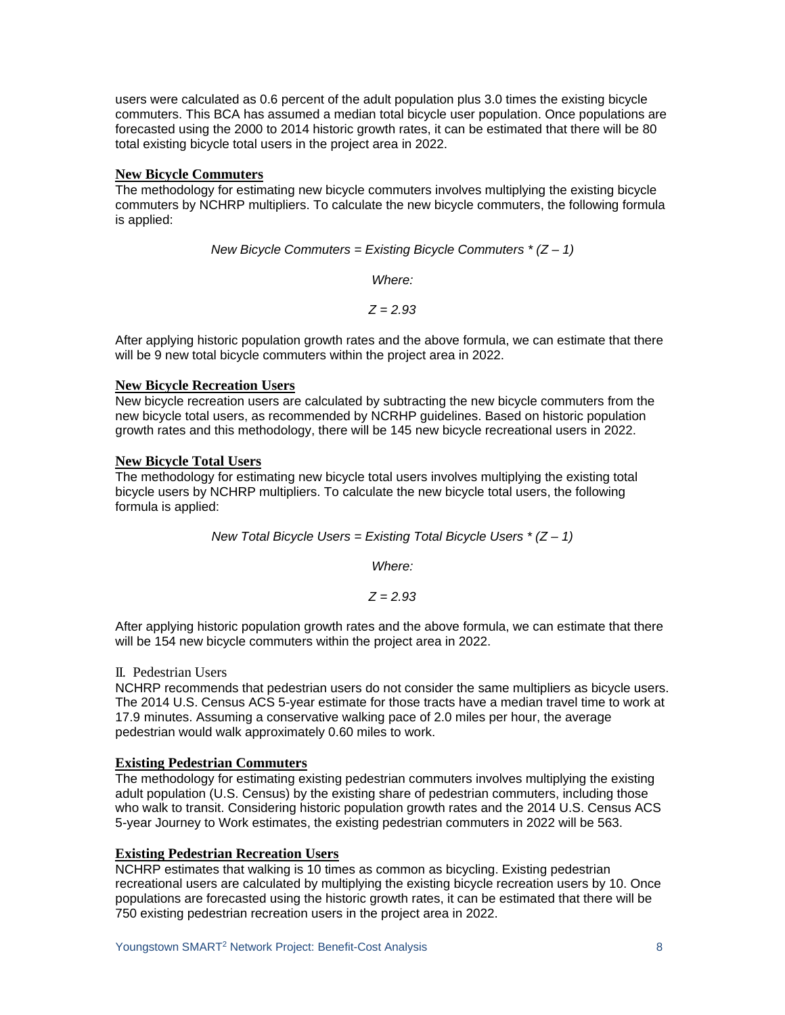users were calculated as 0.6 percent of the adult population plus 3.0 times the existing bicycle commuters. This BCA has assumed a median total bicycle user population. Once populations are forecasted using the 2000 to 2014 historic growth rates, it can be estimated that there will be 80 total existing bicycle total users in the project area in 2022.

## **New Bicycle Commuters**

The methodology for estimating new bicycle commuters involves multiplying the existing bicycle commuters by NCHRP multipliers. To calculate the new bicycle commuters, the following formula is applied:

*New Bicycle Commuters = Existing Bicycle Commuters \* (Z – 1)* 

*Where:*

*Z = 2.93*

After applying historic population growth rates and the above formula, we can estimate that there will be 9 new total bicycle commuters within the project area in 2022.

## **New Bicycle Recreation Users**

New bicycle recreation users are calculated by subtracting the new bicycle commuters from the new bicycle total users, as recommended by NCRHP guidelines. Based on historic population growth rates and this methodology, there will be 145 new bicycle recreational users in 2022.

## **New Bicycle Total Users**

The methodology for estimating new bicycle total users involves multiplying the existing total bicycle users by NCHRP multipliers. To calculate the new bicycle total users, the following formula is applied:

*New Total Bicycle Users = Existing Total Bicycle Users \* (Z – 1)* 

*Where:*

*Z = 2.93*

After applying historic population growth rates and the above formula, we can estimate that there will be 154 new bicycle commuters within the project area in 2022.

## II. Pedestrian Users

NCHRP recommends that pedestrian users do not consider the same multipliers as bicycle users. The 2014 U.S. Census ACS 5-year estimate for those tracts have a median travel time to work at 17.9 minutes. Assuming a conservative walking pace of 2.0 miles per hour, the average pedestrian would walk approximately 0.60 miles to work.

## **Existing Pedestrian Commuters**

The methodology for estimating existing pedestrian commuters involves multiplying the existing adult population (U.S. Census) by the existing share of pedestrian commuters, including those who walk to transit. Considering historic population growth rates and the 2014 U.S. Census ACS 5-year Journey to Work estimates, the existing pedestrian commuters in 2022 will be 563.

## **Existing Pedestrian Recreation Users**

NCHRP estimates that walking is 10 times as common as bicycling. Existing pedestrian recreational users are calculated by multiplying the existing bicycle recreation users by 10. Once populations are forecasted using the historic growth rates, it can be estimated that there will be 750 existing pedestrian recreation users in the project area in 2022.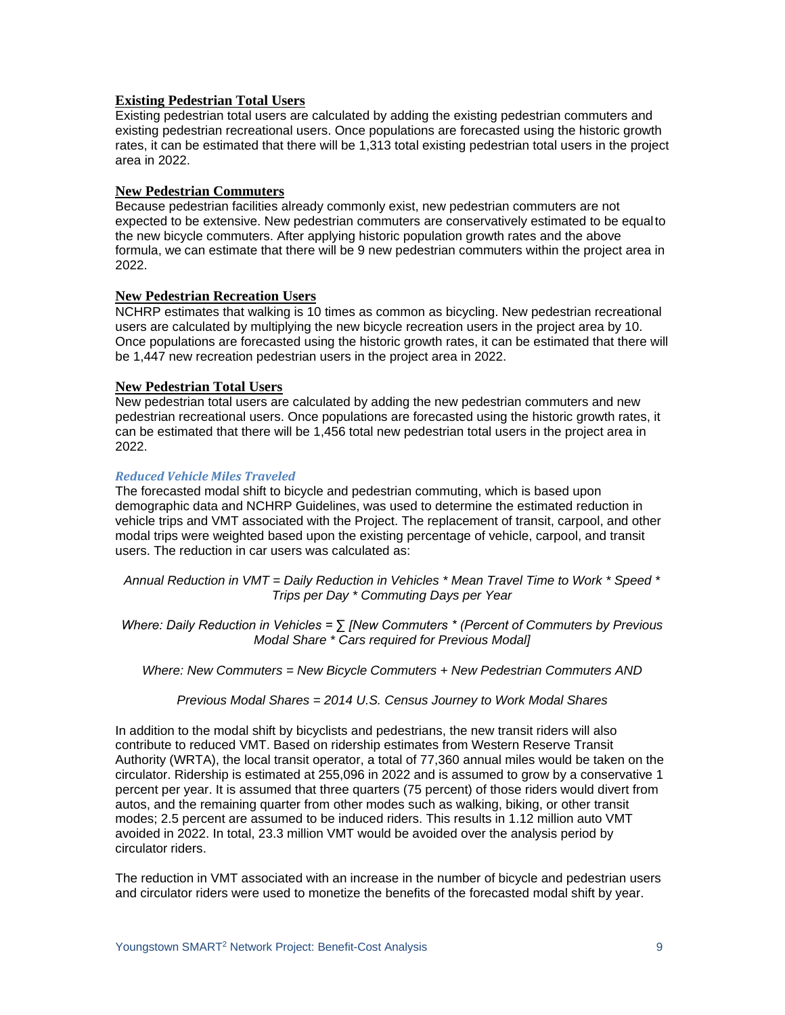## **Existing Pedestrian Total Users**

Existing pedestrian total users are calculated by adding the existing pedestrian commuters and existing pedestrian recreational users. Once populations are forecasted using the historic growth rates, it can be estimated that there will be 1,313 total existing pedestrian total users in the project area in 2022.

### **New Pedestrian Commuters**

Because pedestrian facilities already commonly exist, new pedestrian commuters are not expected to be extensive. New pedestrian commuters are conservatively estimated to be equalto the new bicycle commuters. After applying historic population growth rates and the above formula, we can estimate that there will be 9 new pedestrian commuters within the project area in 2022.

### **New Pedestrian Recreation Users**

NCHRP estimates that walking is 10 times as common as bicycling. New pedestrian recreational users are calculated by multiplying the new bicycle recreation users in the project area by 10. Once populations are forecasted using the historic growth rates, it can be estimated that there will be 1,447 new recreation pedestrian users in the project area in 2022.

### **New Pedestrian Total Users**

New pedestrian total users are calculated by adding the new pedestrian commuters and new pedestrian recreational users. Once populations are forecasted using the historic growth rates, it can be estimated that there will be 1,456 total new pedestrian total users in the project area in 2022.

### *Reduced Vehicle Miles Traveled*

The forecasted modal shift to bicycle and pedestrian commuting, which is based upon demographic data and NCHRP Guidelines, was used to determine the estimated reduction in vehicle trips and VMT associated with the Project. The replacement of transit, carpool, and other modal trips were weighted based upon the existing percentage of vehicle, carpool, and transit users. The reduction in car users was calculated as:

*Annual Reduction in VMT = Daily Reduction in Vehicles \* Mean Travel Time to Work \* Speed \* Trips per Day \* Commuting Days per Year*

*Where: Daily Reduction in Vehicles = ∑ [New Commuters \* (Percent of Commuters by Previous Modal Share \* Cars required for Previous Modal]*

*Where: New Commuters = New Bicycle Commuters + New Pedestrian Commuters AND* 

*Previous Modal Shares = 2014 U.S. Census Journey to Work Modal Shares*

In addition to the modal shift by bicyclists and pedestrians, the new transit riders will also contribute to reduced VMT. Based on ridership estimates from Western Reserve Transit Authority (WRTA), the local transit operator, a total of 77,360 annual miles would be taken on the circulator. Ridership is estimated at 255,096 in 2022 and is assumed to grow by a conservative 1 percent per year. It is assumed that three quarters (75 percent) of those riders would divert from autos, and the remaining quarter from other modes such as walking, biking, or other transit modes; 2.5 percent are assumed to be induced riders. This results in 1.12 million auto VMT avoided in 2022. In total, 23.3 million VMT would be avoided over the analysis period by circulator riders.

The reduction in VMT associated with an increase in the number of bicycle and pedestrian users and circulator riders were used to monetize the benefits of the forecasted modal shift by year.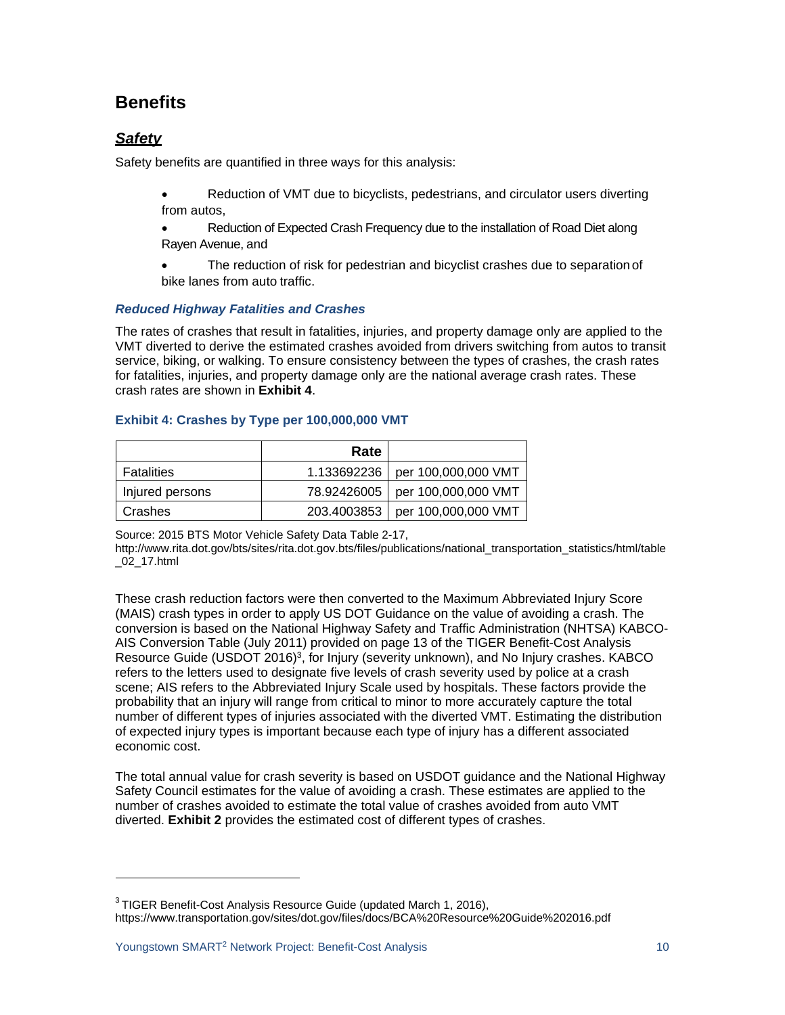# **Benefits**

# *Safety*

Safety benefits are quantified in three ways for this analysis:

- Reduction of VMT due to bicyclists, pedestrians, and circulator users diverting from autos,
- Reduction of Expected Crash Frequency due to the installation of Road Diet along Rayen Avenue, and
- The reduction of risk for pedestrian and bicyclist crashes due to separation of bike lanes from auto traffic.

## *Reduced Highway Fatalities and Crashes*

The rates of crashes that result in fatalities, injuries, and property damage only are applied to the VMT diverted to derive the estimated crashes avoided from drivers switching from autos to transit service, biking, or walking. To ensure consistency between the types of crashes, the crash rates for fatalities, injuries, and property damage only are the national average crash rates. These crash rates are shown in **Exhibit 4**.

## **Exhibit 4: Crashes by Type per 100,000,000 VMT**

|                 | Rate        |                     |
|-----------------|-------------|---------------------|
| Fatalities      | 1.133692236 | per 100,000,000 VMT |
| Injured persons | 78.92426005 | per 100,000,000 VMT |
| Crashes         | 203.4003853 | per 100,000,000 VMT |

Source: 2015 BTS Motor Vehicle Safety Data Table 2-17,

[http://www.rita.dot.gov/bts/sites/rita.dot.gov.bts/files/publications/national\\_transportation\\_statistics/html/table](http://www.rita.dot.gov/bts/sites/rita.dot.gov.bts/files/publications/national_transportation_statistics/html/table) \_02\_17.html

These crash reduction factors were then converted to the Maximum Abbreviated Injury Score (MAIS) crash types in order to apply US DOT Guidance on the value of avoiding a crash. The conversion is based on the National Highway Safety and Traffic Administration (NHTSA) KABCO-AIS Conversion Table (July 2011) provided on page 13 of the TIGER Benefit-Cost Analysis Resource Guide (USDOT 2016)3, for Injury (severity unknown), and No Injury crashes. KABCO refers to the letters used to designate five levels of crash severity used by police at a crash scene; AIS refers to the Abbreviated Injury Scale used by hospitals. These factors provide the probability that an injury will range from critical to minor to more accurately capture the total number of different types of injuries associated with the diverted VMT. Estimating the distribution of expected injury types is important because each type of injury has a different associated economic cost.

The total annual value for crash severity is based on USDOT guidance and the National Highway Safety Council estimates for the value of avoiding a crash. These estimates are applied to the number of crashes avoided to estimate the total value of crashes avoided from auto VMT diverted. **Exhibit 2** provides the estimated cost of different types of crashes.

<sup>&</sup>lt;sup>3</sup> TIGER Benefit-Cost Analysis Resource Guide (updated March 1, 2016), https:/[/www.transportation.gov/sites/dot.gov/files/docs/BCA%20Resource%20Guide%202016.pdf](http://www.transportation.gov/sites/dot.gov/files/docs/BCA%20Resource%20Guide%202016.pdf)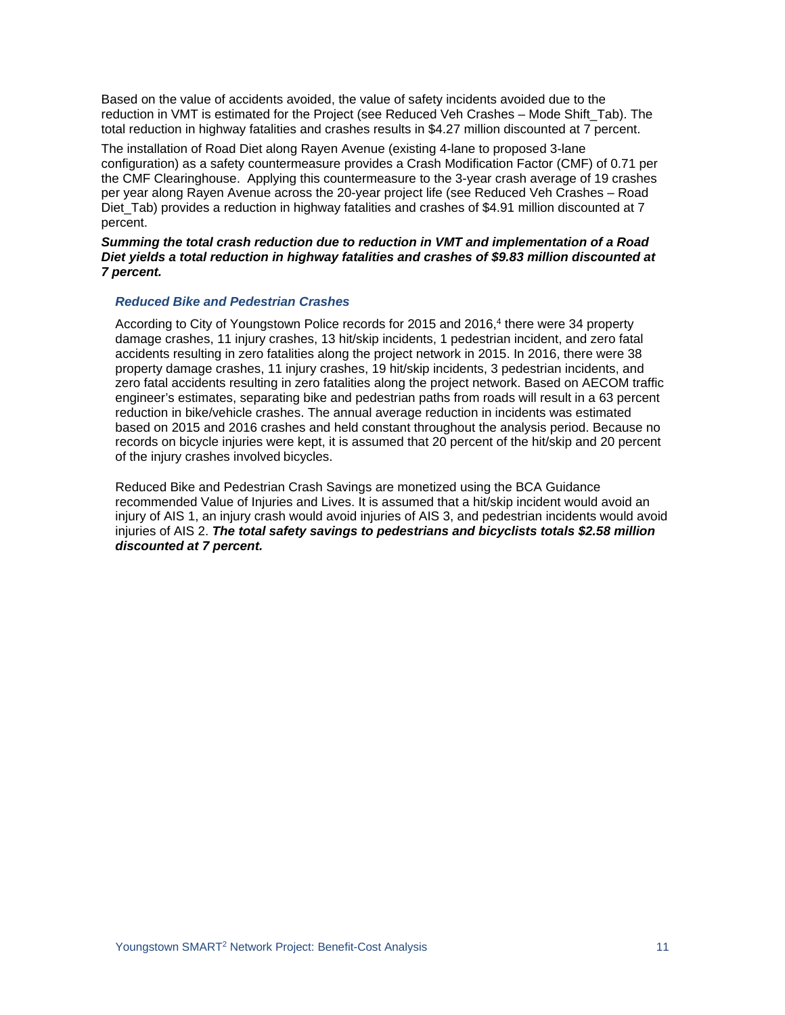Based on the value of accidents avoided, the value of safety incidents avoided due to the reduction in VMT is estimated for the Project (see Reduced Veh Crashes – Mode Shift\_Tab). The total reduction in highway fatalities and crashes results in \$4.27 million discounted at 7 percent.

The installation of Road Diet along Rayen Avenue (existing 4-lane to proposed 3-lane configuration) as a safety countermeasure provides a Crash Modification Factor (CMF) of 0.71 per the CMF Clearinghouse. Applying this countermeasure to the 3-year crash average of 19 crashes per year along Rayen Avenue across the 20-year project life (see Reduced Veh Crashes – Road Diet Tab) provides a reduction in highway fatalities and crashes of \$4.91 million discounted at 7 percent.

### *Summing the total crash reduction due to reduction in VMT and implementation of a Road Diet yields a total reduction in highway fatalities and crashes of \$9.83 million discounted at 7 percent.*

## *Reduced Bike and Pedestrian Crashes*

According to City of Youngstown Police records for 2015 and 2016,<sup>4</sup> there were 34 property damage crashes, 11 injury crashes, 13 hit/skip incidents, 1 pedestrian incident, and zero fatal accidents resulting in zero fatalities along the project network in 2015. In 2016, there were 38 property damage crashes, 11 injury crashes, 19 hit/skip incidents, 3 pedestrian incidents, and zero fatal accidents resulting in zero fatalities along the project network. Based on AECOM traffic engineer's estimates, separating bike and pedestrian paths from roads will result in a 63 percent reduction in bike/vehicle crashes. The annual average reduction in incidents was estimated based on 2015 and 2016 crashes and held constant throughout the analysis period. Because no records on bicycle injuries were kept, it is assumed that 20 percent of the hit/skip and 20 percent of the injury crashes involved bicycles.

Reduced Bike and Pedestrian Crash Savings are monetized using the BCA Guidance recommended Value of Injuries and Lives. It is assumed that a hit/skip incident would avoid an injury of AIS 1, an injury crash would avoid injuries of AIS 3, and pedestrian incidents would avoid injuries of AIS 2. *The total safety savings to pedestrians and bicyclists totals \$2.58 million discounted at 7 percent.*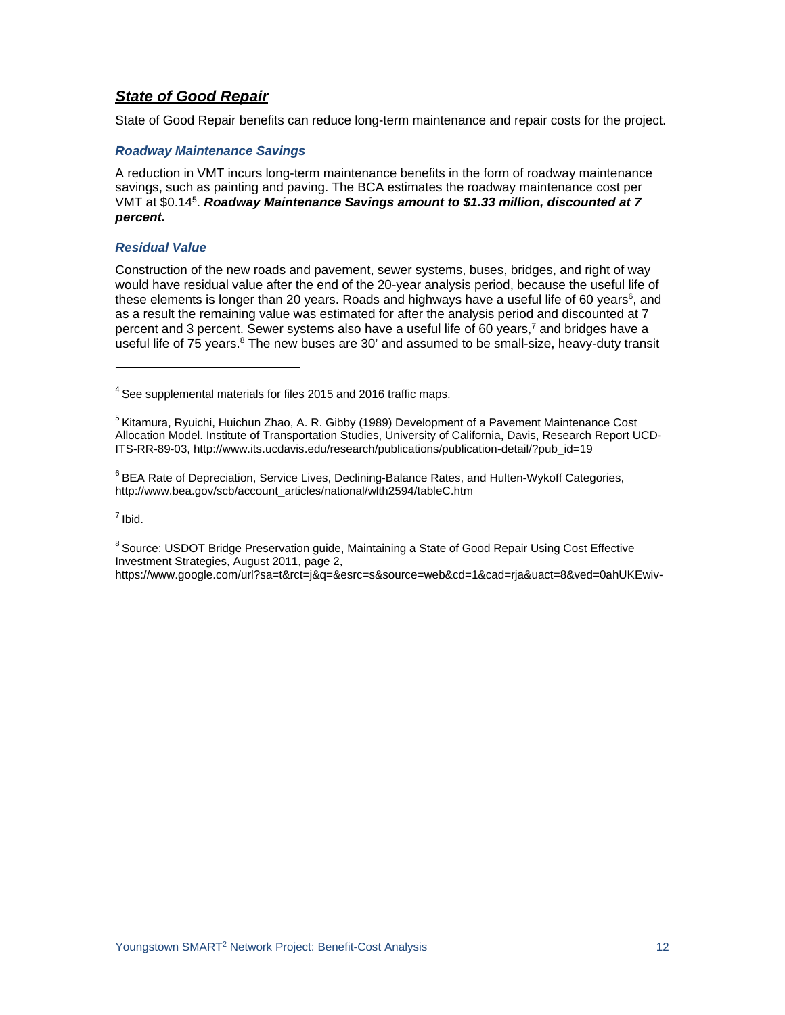## *State of Good Repair*

State of Good Repair benefits can reduce long-term maintenance and repair costs for the project.

### *Roadway Maintenance Savings*

A reduction in VMT incurs long-term maintenance benefits in the form of roadway maintenance savings, such as painting and paving. The BCA estimates the roadway maintenance cost per VMT at \$0.145. *Roadway Maintenance Savings amount to \$1.33 million, discounted at 7 percent.*

### *Residual Value*

Construction of the new roads and pavement, sewer systems, buses, bridges, and right of way would have residual value after the end of the 20-year analysis period, because the useful life of these elements is longer than 20 years. Roads and highways have a useful life of 60 years<sup>6</sup>, and as a result the remaining value was estimated for after the analysis period and discounted at 7 percent and 3 percent. Sewer systems also have a useful life of 60 years,<sup>7</sup> and bridges have a useful life of 75 years.<sup>8</sup> The new buses are 30' and assumed to be small-size, heavy-duty transit

<sup>6</sup> BEA Rate of Depreciation, Service Lives, Declining-Balance Rates, and Hulten-Wykoff Categories, [http://www.bea.gov/scb/account\\_articles/national/wlth2594/tableC.htm](http://www.bea.gov/scb/account_articles/national/wlth2594/tableC.htm)

 $<sup>7</sup>$  Ibid.</sup>

<sup>8</sup> Source: USDOT Bridge Preservation guide, Maintaining a State of Good Repair Using Cost Effective Investment Strategies, August 2011, page 2, https:/[/www.google.com/url?sa=t&rct=j&q=&esrc=s&source=web&cd=1&cad=rja&uact=8&ved=0ahUKEwiv-](http://www.google.com/url?sa=t&rct=j&q&esrc=s&source=web&cd=1&cad=rja&uact=8&ved=0ahUKEwiv-)

 $4$  See supplemental materials for files 2015 and 2016 traffic maps.

<sup>5</sup> Kitamura, Ryuichi, Huichun Zhao, A. R. Gibby (1989) Development of a Pavement Maintenance Cost Allocation Model. Institute of Transportation Studies, University of California, Davis, Research Report UCD-ITS-RR-89-03, [http://www.its.ucdavis.edu/research/publications/publication-detail/?pub\\_id=19](http://www.its.ucdavis.edu/research/publications/publication-detail/?pub_id=19)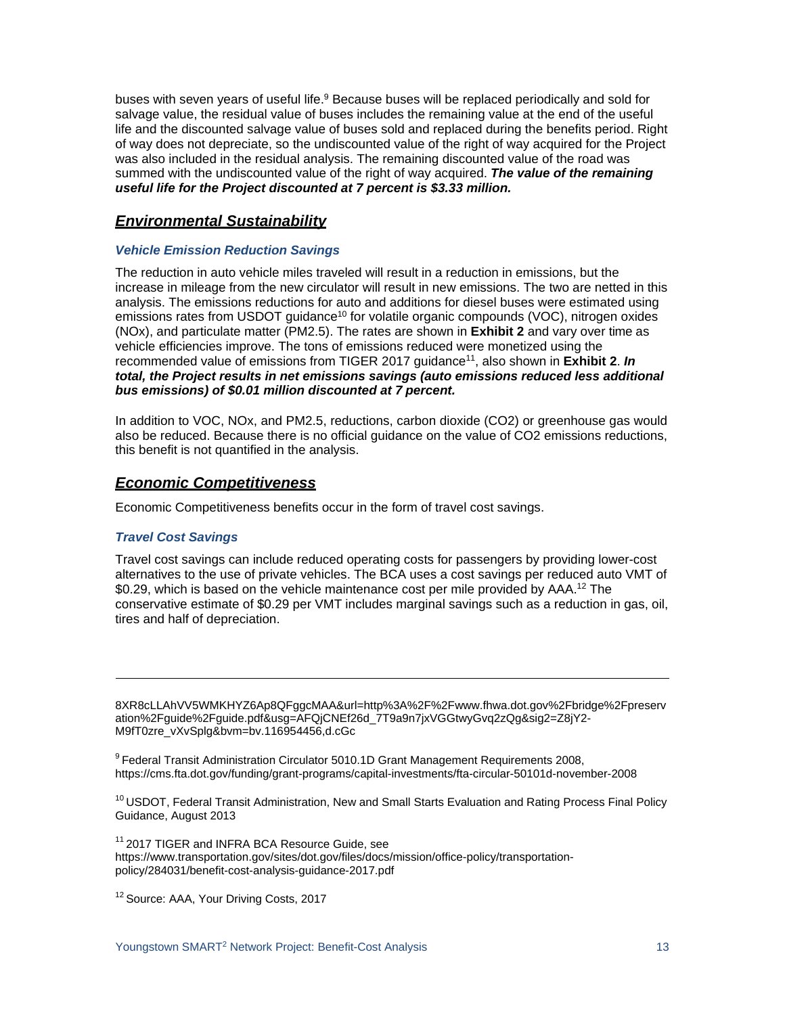buses with seven years of useful life.<sup>9</sup> Because buses will be replaced periodically and sold for salvage value, the residual value of buses includes the remaining value at the end of the useful life and the discounted salvage value of buses sold and replaced during the benefits period. Right of way does not depreciate, so the undiscounted value of the right of way acquired for the Project was also included in the residual analysis. The remaining discounted value of the road was summed with the undiscounted value of the right of way acquired. *The value of the remaining useful life for the Project discounted at 7 percent is \$3.33 million.*

## *Environmental Sustainability*

## *Vehicle Emission Reduction Savings*

The reduction in auto vehicle miles traveled will result in a reduction in emissions, but the increase in mileage from the new circulator will result in new emissions. The two are netted in this analysis. The emissions reductions for auto and additions for diesel buses were estimated using emissions rates from USDOT guidance<sup>10</sup> for volatile organic compounds (VOC), nitrogen oxides (NOx), and particulate matter (PM2.5). The rates are shown in **Exhibit 2** and vary over time as vehicle efficiencies improve. The tons of emissions reduced were monetized using the recommended value of emissions from TIGER 2017 quidance<sup>11</sup>, also shown in **Exhibit 2. In** *total, the Project results in net emissions savings (auto emissions reduced less additional bus emissions) of \$0.01 million discounted at 7 percent.*

In addition to VOC, NOx, and PM2.5, reductions, carbon dioxide (CO2) or greenhouse gas would also be reduced. Because there is no official guidance on the value of CO2 emissions reductions, this benefit is not quantified in the analysis.

## *Economic Competitiveness*

Economic Competitiveness benefits occur in the form of travel cost savings.

## *Travel Cost Savings*

Travel cost savings can include reduced operating costs for passengers by providing lower-cost alternatives to the use of private vehicles. The BCA uses a cost savings per reduced auto VMT of \$0.29, which is based on the vehicle maintenance cost per mile provided by AAA.<sup>12</sup> The conservative estimate of \$0.29 per VMT includes marginal savings such as a reduction in gas, oil, tires and half of depreciation.

8XR8cLLAhVV5WMKHYZ6Ap8QFggcMAA&url=http%3A%2F%2Fwww.fhwa.dot.gov%2Fbridge%2Fpreserv ation%2Fguide%2Fguide.pdf&usg=AFQjCNEf26d\_7T9a9n7jxVGGtwyGvq2zQg&sig2=Z8jY2- M9fT0zre\_vXvSplg&bvm=bv.116954456,d.cGc

<sup>9</sup> Federal Transit Administration Circulator 5010.1D Grant Management Requirements 2008, https://cms.fta.dot.gov/funding/grant-programs/capital-investments/fta-circular-50101d-november-2008

<sup>10</sup> USDOT, Federal Transit Administration, New and Small Starts Evaluation and Rating Process Final Policy Guidance, August 2013

<sup>11</sup> 2017 TIGER and INFRA BCA Resource Guide, see https:/[/www.transportation.gov/sites/dot.gov/files/docs/mission/office-policy/transportation](http://www.transportation.gov/sites/dot.gov/files/docs/mission/office-policy/transportation-)policy/284031/benefit-cost-analysis-guidance-2017.pdf

<sup>12</sup> Source: AAA, Your Driving Costs, 2017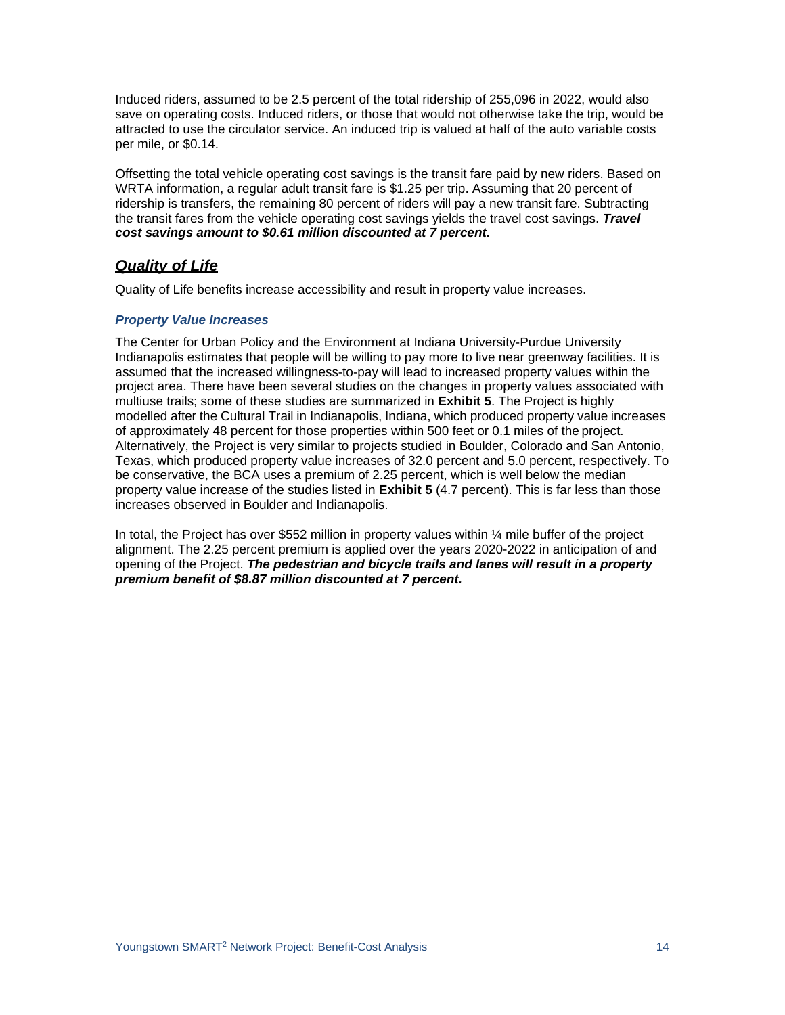Induced riders, assumed to be 2.5 percent of the total ridership of 255,096 in 2022, would also save on operating costs. Induced riders, or those that would not otherwise take the trip, would be attracted to use the circulator service. An induced trip is valued at half of the auto variable costs per mile, or \$0.14.

Offsetting the total vehicle operating cost savings is the transit fare paid by new riders. Based on WRTA information, a regular adult transit fare is \$1.25 per trip. Assuming that 20 percent of ridership is transfers, the remaining 80 percent of riders will pay a new transit fare. Subtracting the transit fares from the vehicle operating cost savings yields the travel cost savings. *Travel cost savings amount to \$0.61 million discounted at 7 percent.*

## *Quality of Life*

Quality of Life benefits increase accessibility and result in property value increases.

## *Property Value Increases*

The Center for Urban Policy and the Environment at Indiana University-Purdue University Indianapolis estimates that people will be willing to pay more to live near greenway facilities. It is assumed that the increased willingness-to-pay will lead to increased property values within the project area. There have been several studies on the changes in property values associated with multiuse trails; some of these studies are summarized in **Exhibit 5**. The Project is highly modelled after the Cultural Trail in Indianapolis, Indiana, which produced property value increases of approximately 48 percent for those properties within 500 feet or 0.1 miles of the project. Alternatively, the Project is very similar to projects studied in Boulder, Colorado and San Antonio, Texas, which produced property value increases of 32.0 percent and 5.0 percent, respectively. To be conservative, the BCA uses a premium of 2.25 percent, which is well below the median property value increase of the studies listed in **Exhibit 5** (4.7 percent). This is far less than those increases observed in Boulder and Indianapolis.

In total, the Project has over \$552 million in property values within  $\frac{1}{4}$  mile buffer of the project alignment. The 2.25 percent premium is applied over the years 2020-2022 in anticipation of and opening of the Project. *The pedestrian and bicycle trails and lanes will result in a property premium benefit of \$8.87 million discounted at 7 percent.*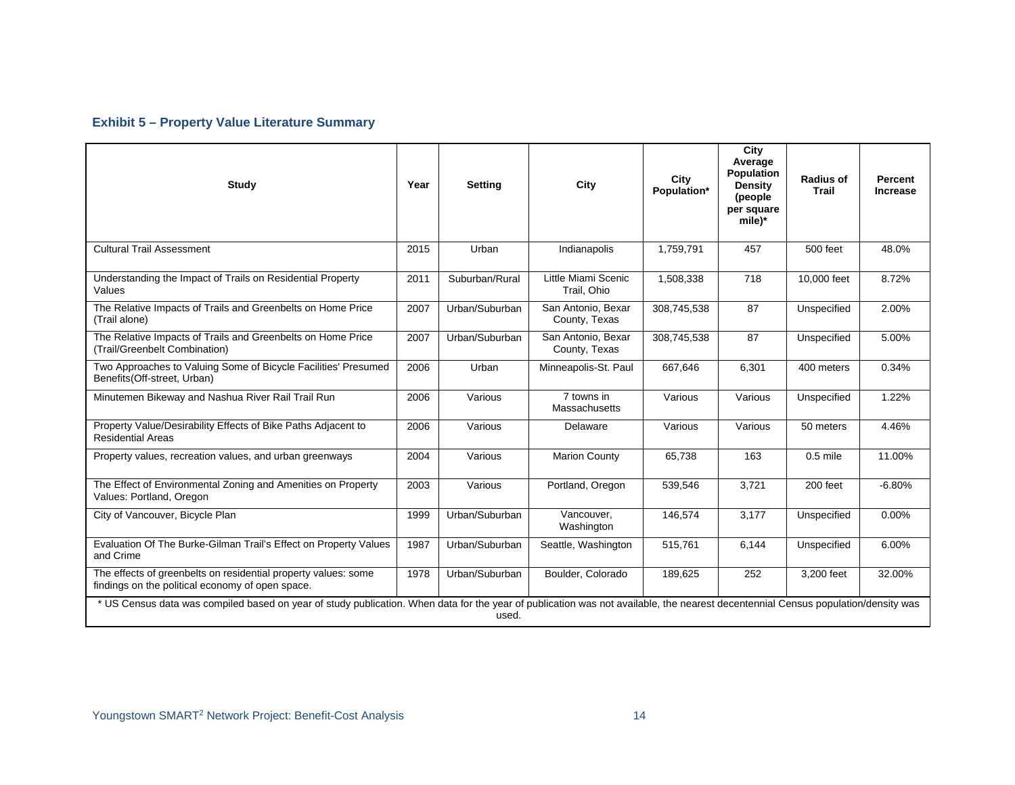# **Exhibit 5 – Property Value Literature Summary**

| <b>Study</b>                                                                                                                                                                               | Year | <b>Setting</b> | City                                | City<br>Population* | City<br>Average<br><b>Population</b><br><b>Density</b><br>(people)<br>per square<br>mile)* | Radius of<br>Trail | <b>Percent</b><br><b>Increase</b> |
|--------------------------------------------------------------------------------------------------------------------------------------------------------------------------------------------|------|----------------|-------------------------------------|---------------------|--------------------------------------------------------------------------------------------|--------------------|-----------------------------------|
| <b>Cultural Trail Assessment</b>                                                                                                                                                           | 2015 | Urban          | Indianapolis                        | 1,759,791           | 457                                                                                        | 500 feet           | 48.0%                             |
| Understanding the Impact of Trails on Residential Property<br>Values                                                                                                                       | 2011 | Suburban/Rural | Little Miami Scenic<br>Trail. Ohio  | 1,508,338           | 718                                                                                        | 10,000 feet        | 8.72%                             |
| The Relative Impacts of Trails and Greenbelts on Home Price<br>(Trail alone)                                                                                                               | 2007 | Urban/Suburban | San Antonio, Bexar<br>County, Texas | 308,745,538         | 87                                                                                         | Unspecified        | 2.00%                             |
| The Relative Impacts of Trails and Greenbelts on Home Price<br>(Trail/Greenbelt Combination)                                                                                               | 2007 | Urban/Suburban | San Antonio, Bexar<br>County, Texas | 308,745,538         | 87                                                                                         | Unspecified        | 5.00%                             |
| Two Approaches to Valuing Some of Bicycle Facilities' Presumed<br>Benefits(Off-street, Urban)                                                                                              | 2006 | Urban          | Minneapolis-St. Paul                | 667,646             | 6.301                                                                                      | 400 meters         | 0.34%                             |
| Minutemen Bikeway and Nashua River Rail Trail Run                                                                                                                                          | 2006 | Various        | 7 towns in<br>Massachusetts         | Various             | Various                                                                                    | Unspecified        | 1.22%                             |
| Property Value/Desirability Effects of Bike Paths Adjacent to<br><b>Residential Areas</b>                                                                                                  | 2006 | Various        | Delaware                            | Various             | Various                                                                                    | 50 meters          | 4.46%                             |
| Property values, recreation values, and urban greenways                                                                                                                                    | 2004 | Various        | <b>Marion County</b>                | 65.738              | 163                                                                                        | $0.5$ mile         | 11.00%                            |
| The Effect of Environmental Zoning and Amenities on Property<br>Values: Portland, Oregon                                                                                                   | 2003 | Various        | Portland, Oregon                    | 539,546             | 3,721                                                                                      | 200 feet           | $-6.80%$                          |
| City of Vancouver, Bicycle Plan                                                                                                                                                            | 1999 | Urban/Suburban | Vancouver,<br>Washington            | 146,574             | 3,177                                                                                      | Unspecified        | $0.00\%$                          |
| Evaluation Of The Burke-Gilman Trail's Effect on Property Values<br>and Crime                                                                                                              | 1987 | Urban/Suburban | Seattle, Washington                 | 515,761             | 6,144                                                                                      | Unspecified        | 6.00%                             |
| The effects of greenbelts on residential property values: some<br>findings on the political economy of open space.                                                                         | 1978 | Urban/Suburban | Boulder, Colorado                   | 189,625             | 252                                                                                        | 3,200 feet         | 32.00%                            |
| * US Census data was compiled based on year of study publication. When data for the year of publication was not available, the nearest decentennial Census population/density was<br>used. |      |                |                                     |                     |                                                                                            |                    |                                   |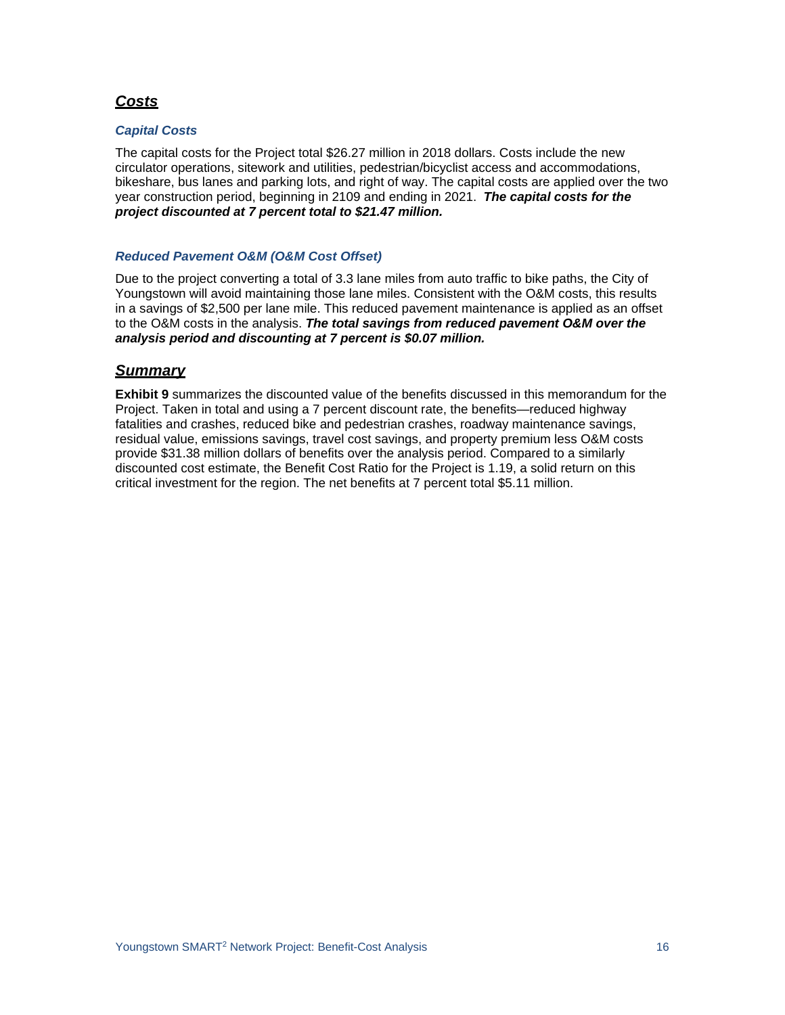# *Costs*

## *Capital Costs*

The capital costs for the Project total \$26.27 million in 2018 dollars. Costs include the new circulator operations, sitework and utilities, pedestrian/bicyclist access and accommodations, bikeshare, bus lanes and parking lots, and right of way. The capital costs are applied over the two year construction period, beginning in 2109 and ending in 2021. *The capital costs for the project discounted at 7 percent total to \$21.47 million.*

## *Reduced Pavement O&M (O&M Cost Offset)*

Due to the project converting a total of 3.3 lane miles from auto traffic to bike paths, the City of Youngstown will avoid maintaining those lane miles. Consistent with the O&M costs, this results in a savings of \$2,500 per lane mile. This reduced pavement maintenance is applied as an offset to the O&M costs in the analysis. *The total savings from reduced pavement O&M over the analysis period and discounting at 7 percent is \$0.07 million.*

## *Summary*

**Exhibit 9** summarizes the discounted value of the benefits discussed in this memorandum for the Project. Taken in total and using a 7 percent discount rate, the benefits—reduced highway fatalities and crashes, reduced bike and pedestrian crashes, roadway maintenance savings, residual value, emissions savings, travel cost savings, and property premium less O&M costs provide \$31.38 million dollars of benefits over the analysis period. Compared to a similarly discounted cost estimate, the Benefit Cost Ratio for the Project is 1.19, a solid return on this critical investment for the region. The net benefits at 7 percent total \$5.11 million.